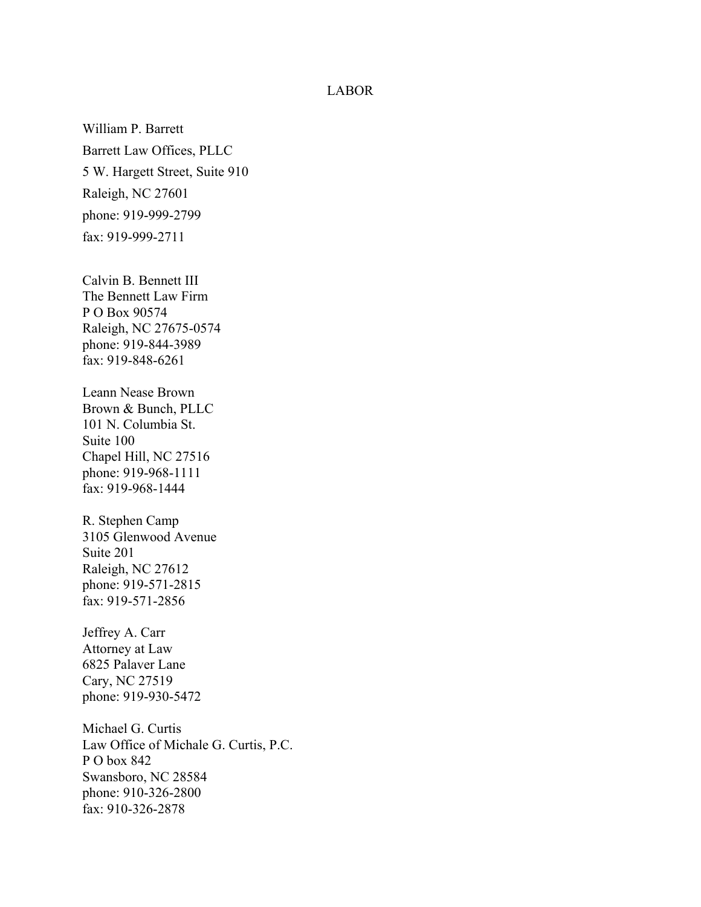## LABOR

William P. Barrett Barrett Law Offices, PLLC 5 W. Hargett Street, Suite 910 Raleigh, NC 27601 phone: 919-999-2799 fax: 919-999-2711

Calvin B. Bennett III The Bennett Law Firm P O Box 90574 Raleigh, NC 27675-0574 phone: 919-844-3989 fax: 919-848-6261

Leann Nease Brown Brown & Bunch, PLLC 101 N. Columbia St. Suite 100 Chapel Hill, NC 27516 phone: 919-968-1111 fax: 919-968-1444

R. Stephen Camp 3105 Glenwood Avenue Suite 201 Raleigh, NC 27612 phone: 919-571-2815 fax: 919-571-2856

Jeffrey A. Carr Attorney at Law 6825 Palaver Lane Cary, NC 27519 phone: 919-930-5472

Michael G. Curtis Law Office of Michale G. Curtis, P.C. P O box 842 Swansboro, NC 28584 phone: 910-326-2800 fax: 910-326-2878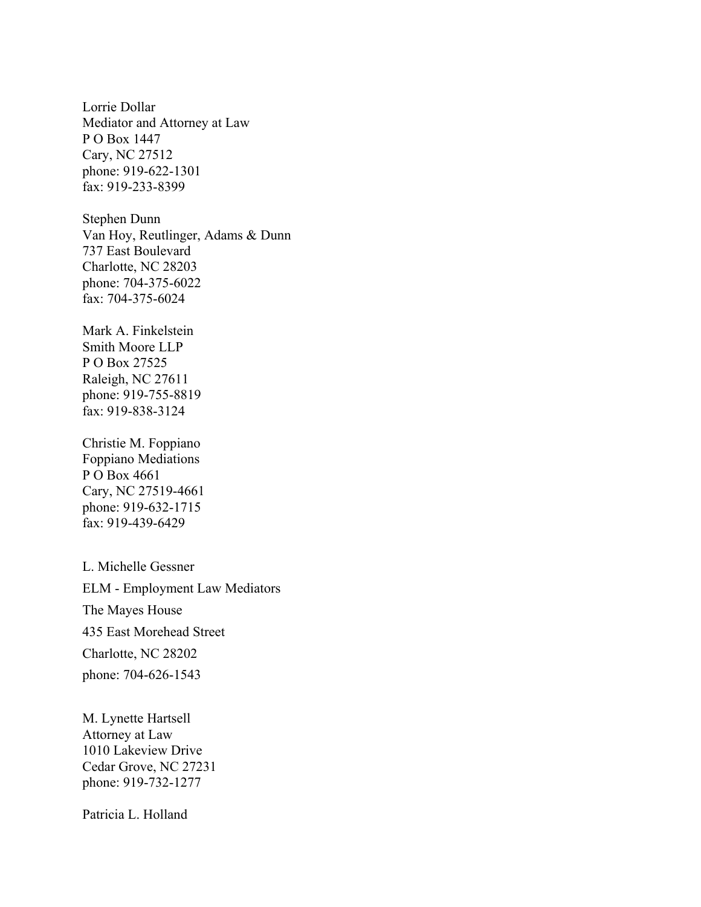Lorrie Dollar Mediator and Attorney at Law P O Box 1447 Cary, NC 27512 phone: 919-622-1301 fax: 919-233-8399

Stephen Dunn Van Hoy, Reutlinger, Adams & Dunn 737 East Boulevard Charlotte, NC 28203 phone: 704-375-6022 fax: 704-375-6024

Mark A. Finkelstein Smith Moore LLP P O Box 27525 Raleigh, NC 27611 phone: 919-755-8819 fax: 919-838-3124

Christie M. Foppiano Foppiano Mediations P O Box 4661 Cary, NC 27519-4661 phone: 919-632-1715 fax: 919-439-6429

L. Michelle Gessner ELM - Employment Law Mediators The Mayes House 435 East Morehead Street Charlotte, NC 28202 phone: 704-626-1543

M. Lynette Hartsell Attorney at Law 1010 Lakeview Drive Cedar Grove, NC 27231 phone: 919-732-1277

Patricia L. Holland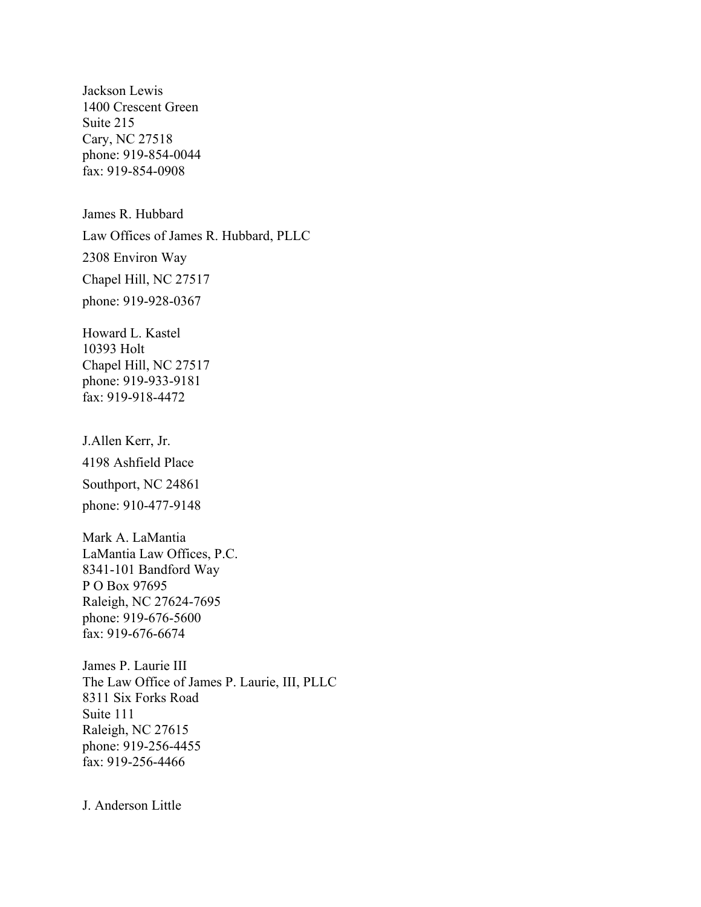Jackson Lewis 1400 Crescent Green Suite 215 Cary, NC 27518 phone: 919-854-0044 fax: 919-854-0908

James R. Hubbard Law Offices of James R. Hubbard, PLLC 2308 Environ Way Chapel Hill, NC 27517 phone: 919-928-0367

Howard L. Kastel 10393 Holt Chapel Hill, NC 27517 phone: 919-933-9181 fax: 919-918-4472

J.Allen Kerr, Jr. 4198 Ashfield Place Southport, NC 24861 phone: 910-477-9148

Mark A. LaMantia LaMantia Law Offices, P.C. 8341-101 Bandford Way P O Box 97695 Raleigh, NC 27624-7695 phone: 919-676-5600 fax: 919-676-6674

James P. Laurie III The Law Office of James P. Laurie, III, PLLC 8311 Six Forks Road Suite 111 Raleigh, NC 27615 phone: 919-256-4455 fax: 919-256-4466

J. Anderson Little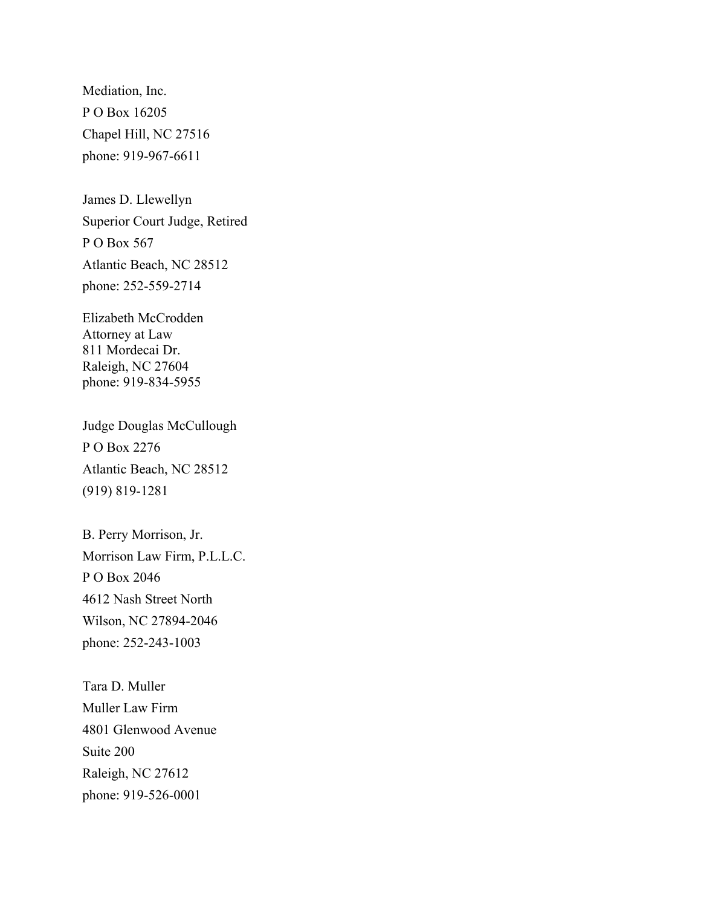Mediation, Inc. P O Box 16205 Chapel Hill, NC 27516 phone: 919-967-6611

James D. Llewellyn Superior Court Judge, Retired P O Box 567 Atlantic Beach, NC 28512 phone: 252-559-2714

Elizabeth McCrodden Attorney at Law 811 Mordecai Dr. Raleigh, NC 27604 phone: 919-834-5955

Judge Douglas McCullough P O Box 2276 Atlantic Beach, NC 28512 (919) 819-1281

B. Perry Morrison, Jr. Morrison Law Firm, P.L.L.C. P O Box 2046 4612 Nash Street North Wilson, NC 27894-2046 phone: 252-243-1003

Tara D. Muller Muller Law Firm 4801 Glenwood Avenue Suite 200 Raleigh, NC 27612 phone: 919-526-0001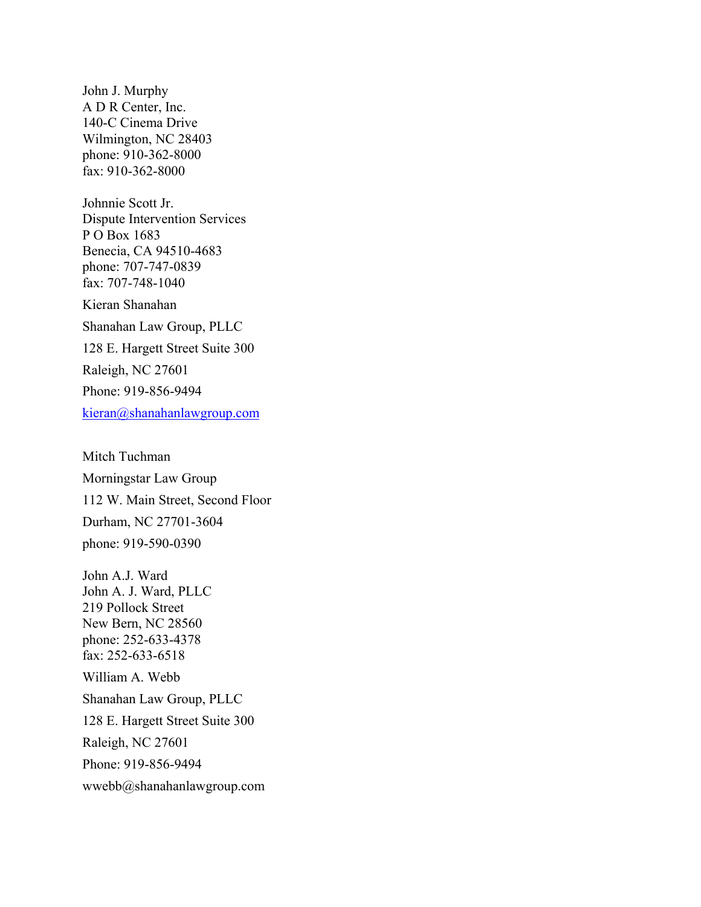John J. Murphy A D R Center, Inc. 140-C Cinema Drive Wilmington, NC 28403 phone: 910-362-8000 fax: 910-362-8000

Johnnie Scott Jr. Dispute Intervention Services P O Box 1683 Benecia, CA 94510-4683 phone: 707-747-0839 fax: 707-748-1040

Kieran Shanahan Shanahan Law Group, PLLC 128 E. Hargett Street Suite 300

Raleigh, NC 27601

Phone: 919-856-9494

kieran@shanahanlawgroup.com

Mitch Tuchman Morningstar Law Group 112 W. Main Street, Second Floor Durham, NC 27701-3604 phone: 919-590-0390

John A.J. Ward John A. J. Ward, PLLC 219 Pollock Street New Bern, NC 28560 phone: 252-633-4378 fax: 252-633-6518 William A. Webb Shanahan Law Group, PLLC 128 E. Hargett Street Suite 300 Raleigh, NC 27601 Phone: 919-856-9494 wwebb@shanahanlawgroup.com